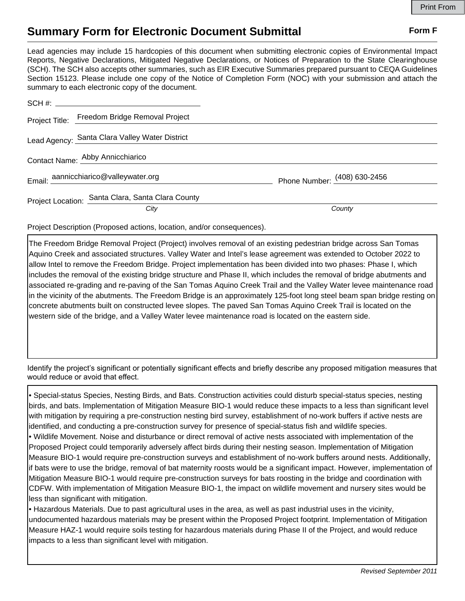## **Summary Form for Electronic Document Submittal Form F Form F**

Lead agencies may include 15 hardcopies of this document when submitting electronic copies of Environmental Impact Reports, Negative Declarations, Mitigated Negative Declarations, or Notices of Preparation to the State Clearinghouse (SCH). The SCH also accepts other summaries, such as EIR Executive Summaries prepared pursuant to CEQA Guidelines Section 15123. Please include one copy of the Notice of Completion Form (NOC) with your submission and attach the summary to each electronic copy of the document.

|  | Project Title: Freedom Bridge Removal Project     |                              |
|--|---------------------------------------------------|------------------------------|
|  | Lead Agency: Santa Clara Valley Water District    |                              |
|  | Contact Name: Abby Annicchiarico                  |                              |
|  | Email: aannicchiarico@valleywater.org             | Phone Number: (408) 630-2456 |
|  | Project Location: Santa Clara, Santa Clara County |                              |
|  | City                                              | County                       |

Project Description (Proposed actions, location, and/or consequences).

The Freedom Bridge Removal Project (Project) involves removal of an existing pedestrian bridge across San Tomas Aquino Creek and associated structures. Valley Water and Intel's lease agreement was extended to October 2022 to allow Intel to remove the Freedom Bridge. Project implementation has been divided into two phases: Phase I, which includes the removal of the existing bridge structure and Phase II, which includes the removal of bridge abutments and associated re-grading and re-paving of the San Tomas Aquino Creek Trail and the Valley Water levee maintenance road in the vicinity of the abutments. The Freedom Bridge is an approximately 125-foot long steel beam span bridge resting on concrete abutments built on constructed levee slopes. The paved San Tomas Aquino Creek Trail is located on the western side of the bridge, and a Valley Water levee maintenance road is located on the eastern side.

Identify the project's significant or potentially significant effects and briefly describe any proposed mitigation measures that would reduce or avoid that effect.

• Special-status Species, Nesting Birds, and Bats. Construction activities could disturb special-status species, nesting birds, and bats. Implementation of Mitigation Measure BIO-1 would reduce these impacts to a less than significant level with mitigation by requiring a pre-construction nesting bird survey, establishment of no-work buffers if active nests are identified, and conducting a pre-construction survey for presence of special-status fish and wildlife species. • Wildlife Movement. Noise and disturbance or direct removal of active nests associated with implementation of the

Proposed Project could temporarily adversely affect birds during their nesting season. Implementation of Mitigation Measure BIO-1 would require pre-construction surveys and establishment of no-work buffers around nests. Additionally, if bats were to use the bridge, removal of bat maternity roosts would be a significant impact. However, implementation of Mitigation Measure BIO-1 would require pre-construction surveys for bats roosting in the bridge and coordination with CDFW. With implementation of Mitigation Measure BIO-1, the impact on wildlife movement and nursery sites would be less than significant with mitigation.

• Hazardous Materials. Due to past agricultural uses in the area, as well as past industrial uses in the vicinity, undocumented hazardous materials may be present within the Proposed Project footprint. Implementation of Mitigation Measure HAZ-1 would require soils testing for hazardous materials during Phase II of the Project, and would reduce impacts to a less than significant level with mitigation.